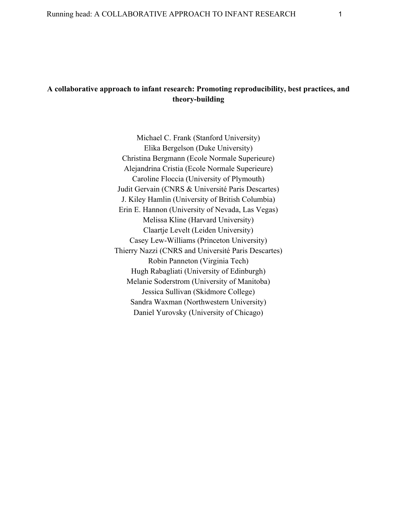# **A collaborative approach to infant research: Promoting reproducibility, best practices, and theory-building**

Michael C. Frank (Stanford University) Elika Bergelson (Duke University) Christina Bergmann (Ecole Normale Superieure) Alejandrina Cristia (Ecole Normale Superieure) Caroline Floccia (University of Plymouth) Judit Gervain (CNRS & Université Paris Descartes) J. Kiley Hamlin (University of British Columbia) Erin E. Hannon (University of Nevada, Las Vegas) Melissa Kline (Harvard University) Claartje Levelt (Leiden University) Casey Lew-Williams (Princeton University) Thierry Nazzi (CNRS and Université Paris Descartes) Robin Panneton (Virginia Tech) Hugh Rabagliati (University of Edinburgh) Melanie Soderstrom (University of Manitoba) Jessica Sullivan (Skidmore College) Sandra Waxman (Northwestern University) Daniel Yurovsky (University of Chicago)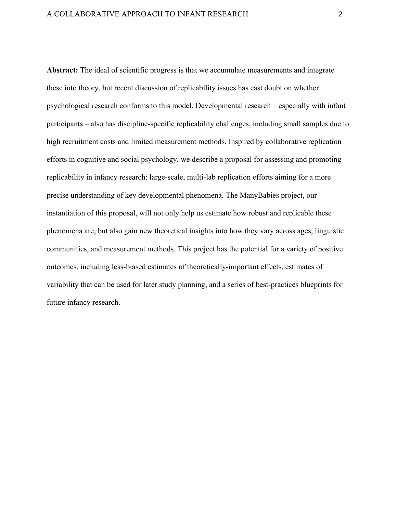**Abstract:** The ideal of scientific progress is that we accumulate measurements and integrate these into theory, but recent discussion of replicability issues has cast doubt on whether psychological research conforms to this model. Developmental research – especially with infant participants – also has discipline-specific replicability challenges, including small samples due to high recruitment costs and limited measurement methods. Inspired by collaborative replication efforts in cognitive and social psychology, we describe a proposal for assessing and promoting replicability in infancy research: large-scale, multi-lab replication efforts aiming for a more precise understanding of key developmental phenomena. The ManyBabies project, our instantiation of this proposal, will not only help us estimate how robust and replicable these phenomena are, but also gain new theoretical insights into how they vary across ages, linguistic communities, and measurement methods. This project has the potential for a variety of positive outcomes, including less-biased estimates of theoretically-important effects, estimates of variability that can be used for later study planning, and a series of best-practices blueprints for future infancy research.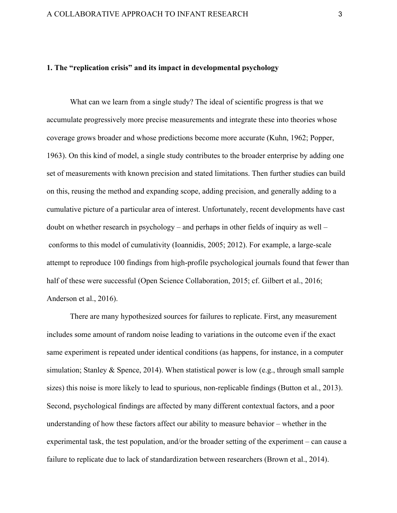# **1. The "replication crisis" and its impact in developmental psychology**

What can we learn from a single study? The ideal of scientific progress is that we accumulate progressively more precise measurements and integrate these into theories whose coverage grows broader and whose predictions become more accurate (Kuhn, 1962; Popper, 1963). On this kind of model, a single study contributes to the broader enterprise by adding one set of measurements with known precision and stated limitations. Then further studies can build on this, reusing the method and expanding scope, adding precision, and generally adding to a cumulative picture of a particular area of interest. Unfortunately, recent developments have cast doubt on whether research in psychology – and perhaps in other fields of inquiry as well – conforms to this model of cumulativity (Ioannidis, 2005; 2012). For example, a large-scale attempt to reproduce 100 findings from high-profile psychological journals found that fewer than half of these were successful (Open Science Collaboration, 2015; cf. Gilbert et al., 2016; Anderson et al., 2016).

There are many hypothesized sources for failures to replicate. First, any measurement includes some amount of random noise leading to variations in the outcome even if the exact same experiment is repeated under identical conditions (as happens, for instance, in a computer simulation; Stanley & Spence, 2014). When statistical power is low (e.g., through small sample sizes) this noise is more likely to lead to spurious, non-replicable findings (Button et al., 2013). Second, psychological findings are affected by many different contextual factors, and a poor understanding of how these factors affect our ability to measure behavior – whether in the experimental task, the test population, and/or the broader setting of the experiment – can cause a failure to replicate due to lack of standardization between researchers (Brown et al., 2014).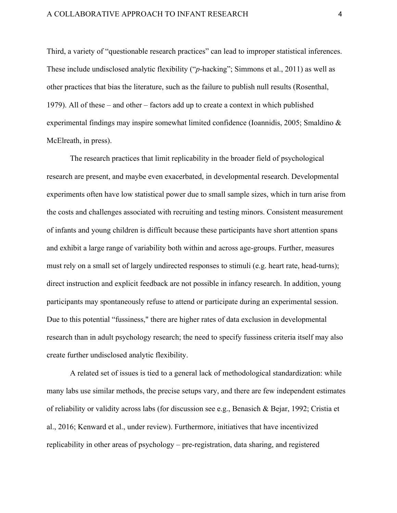Third, a variety of "questionable research practices" can lead to improper statistical inferences. These include undisclosed analytic flexibility ("*p*-hacking"; Simmons et al., 2011) as well as other practices that bias the literature, such as the failure to publish null results (Rosenthal, 1979). All of these – and other – factors add up to create a context in which published experimental findings may inspire somewhat limited confidence (Ioannidis, 2005; Smaldino & McElreath, in press).

The research practices that limit replicability in the broader field of psychological research are present, and maybe even exacerbated, in developmental research. Developmental experiments often have low statistical power due to small sample sizes, which in turn arise from the costs and challenges associated with recruiting and testing minors. Consistent measurement of infants and young children is difficult because these participants have short attention spans and exhibit a large range of variability both within and across age-groups. Further, measures must rely on a small set of largely undirected responses to stimuli (e.g. heart rate, head-turns); direct instruction and explicit feedback are not possible in infancy research. In addition, young participants may spontaneously refuse to attend or participate during an experimental session. Due to this potential "fussiness," there are higher rates of data exclusion in developmental research than in adult psychology research; the need to specify fussiness criteria itself may also create further undisclosed analytic flexibility.

A related set of issues is tied to a general lack of methodological standardization: while many labs use similar methods, the precise setups vary, and there are few independent estimates of reliability or validity across labs (for discussion see e.g., Benasich & Bejar, 1992; Cristia et al., 2016; Kenward et al., under review). Furthermore, initiatives that have incentivized replicability in other areas of psychology – pre-registration, data sharing, and registered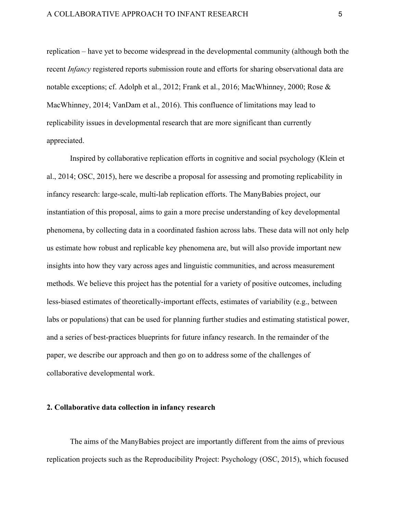replication – have yet to become widespread in the developmental community (although both the recent *Infancy* registered reports submission route and efforts for sharing observational data are notable exceptions; cf. Adolph et al., 2012; Frank et al., 2016; MacWhinney, 2000; Rose & MacWhinney, 2014; VanDam et al., 2016). This confluence of limitations may lead to replicability issues in developmental research that are more significant than currently appreciated.

Inspired by collaborative replication efforts in cognitive and social psychology (Klein et al., 2014; OSC, 2015), here we describe a proposal for assessing and promoting replicability in infancy research: large-scale, multi-lab replication efforts. The ManyBabies project, our instantiation of this proposal, aims to gain a more precise understanding of key developmental phenomena, by collecting data in a coordinated fashion across labs. These data will not only help us estimate how robust and replicable key phenomena are, but will also provide important new insights into how they vary across ages and linguistic communities, and across measurement methods. We believe this project has the potential for a variety of positive outcomes, including less-biased estimates of theoretically-important effects, estimates of variability (e.g., between labs or populations) that can be used for planning further studies and estimating statistical power, and a series of best-practices blueprints for future infancy research. In the remainder of the paper, we describe our approach and then go on to address some of the challenges of collaborative developmental work.

## **2. Collaborative data collection in infancy research**

The aims of the ManyBabies project are importantly different from the aims of previous replication projects such as the Reproducibility Project: Psychology (OSC, 2015), which focused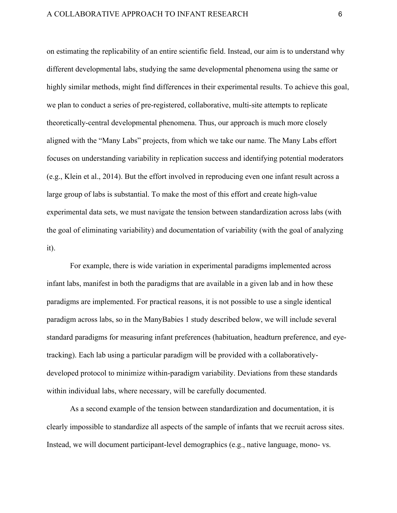on estimating the replicability of an entire scientific field. Instead, our aim is to understand why different developmental labs, studying the same developmental phenomena using the same or highly similar methods, might find differences in their experimental results. To achieve this goal, we plan to conduct a series of pre-registered, collaborative, multi-site attempts to replicate theoretically-central developmental phenomena. Thus, our approach is much more closely aligned with the "Many Labs" projects, from which we take our name. The Many Labs effort focuses on understanding variability in replication success and identifying potential moderators (e.g., Klein et al., 2014). But the effort involved in reproducing even one infant result across a large group of labs is substantial. To make the most of this effort and create high-value experimental data sets, we must navigate the tension between standardization across labs (with the goal of eliminating variability) and documentation of variability (with the goal of analyzing it).

For example, there is wide variation in experimental paradigms implemented across infant labs, manifest in both the paradigms that are available in a given lab and in how these paradigms are implemented. For practical reasons, it is not possible to use a single identical paradigm across labs, so in the ManyBabies 1 study described below, we will include several standard paradigms for measuring infant preferences (habituation, headturn preference, and eyetracking). Each lab using a particular paradigm will be provided with a collaborativelydeveloped protocol to minimize within-paradigm variability. Deviations from these standards within individual labs, where necessary, will be carefully documented.

As a second example of the tension between standardization and documentation, it is clearly impossible to standardize all aspects of the sample of infants that we recruit across sites. Instead, we will document participant-level demographics (e.g., native language, mono- vs.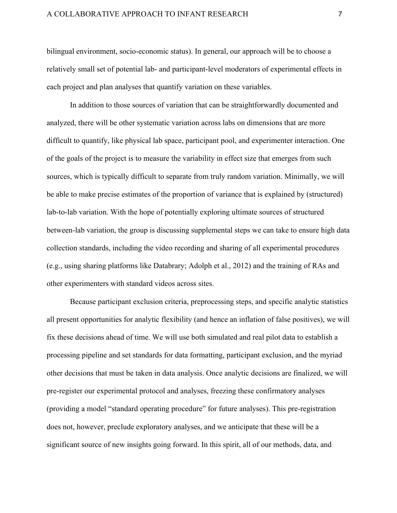# A COLLABORATIVE APPROACH TO INFANT RESEARCH  $7$

bilingual environment, socio-economic status). In general, our approach will be to choose a relatively small set of potential lab- and participant-level moderators of experimental effects in each project and plan analyses that quantify variation on these variables.

In addition to those sources of variation that can be straightforwardly documented and analyzed, there will be other systematic variation across labs on dimensions that are more difficult to quantify, like physical lab space, participant pool, and experimenter interaction. One of the goals of the project is to measure the variability in effect size that emerges from such sources, which is typically difficult to separate from truly random variation. Minimally, we will be able to make precise estimates of the proportion of variance that is explained by (structured) lab-to-lab variation. With the hope of potentially exploring ultimate sources of structured between-lab variation, the group is discussing supplemental steps we can take to ensure high data collection standards, including the video recording and sharing of all experimental procedures (e.g., using sharing platforms like Databrary; Adolph et al., 2012) and the training of RAs and other experimenters with standard videos across sites.

Because participant exclusion criteria, preprocessing steps, and specific analytic statistics all present opportunities for analytic flexibility (and hence an inflation of false positives), we will fix these decisions ahead of time. We will use both simulated and real pilot data to establish a processing pipeline and set standards for data formatting, participant exclusion, and the myriad other decisions that must be taken in data analysis. Once analytic decisions are finalized, we will pre-register our experimental protocol and analyses, freezing these confirmatory analyses (providing a model "standard operating procedure" for future analyses). This pre-registration does not, however, preclude exploratory analyses, and we anticipate that these will be a significant source of new insights going forward. In this spirit, all of our methods, data, and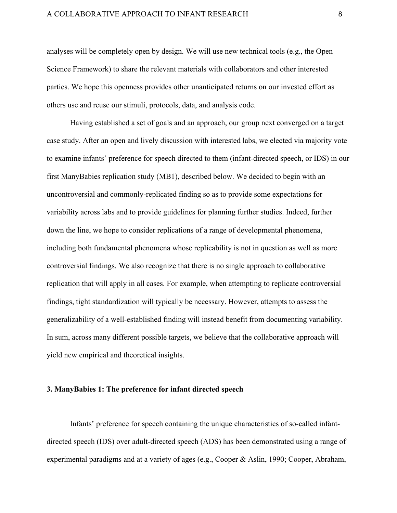analyses will be completely open by design. We will use new technical tools (e.g., the Open Science Framework) to share the relevant materials with collaborators and other interested parties. We hope this openness provides other unanticipated returns on our invested effort as others use and reuse our stimuli, protocols, data, and analysis code.

Having established a set of goals and an approach, our group next converged on a target case study. After an open and lively discussion with interested labs, we elected via majority vote to examine infants' preference for speech directed to them (infant-directed speech, or IDS) in our first ManyBabies replication study (MB1), described below. We decided to begin with an uncontroversial and commonly-replicated finding so as to provide some expectations for variability across labs and to provide guidelines for planning further studies. Indeed, further down the line, we hope to consider replications of a range of developmental phenomena, including both fundamental phenomena whose replicability is not in question as well as more controversial findings. We also recognize that there is no single approach to collaborative replication that will apply in all cases. For example, when attempting to replicate controversial findings, tight standardization will typically be necessary. However, attempts to assess the generalizability of a well-established finding will instead benefit from documenting variability. In sum, across many different possible targets, we believe that the collaborative approach will yield new empirical and theoretical insights.

#### **3. ManyBabies 1: The preference for infant directed speech**

Infants' preference for speech containing the unique characteristics of so-called infantdirected speech (IDS) over adult-directed speech (ADS) has been demonstrated using a range of experimental paradigms and at a variety of ages (e.g., Cooper & Aslin, 1990; Cooper, Abraham,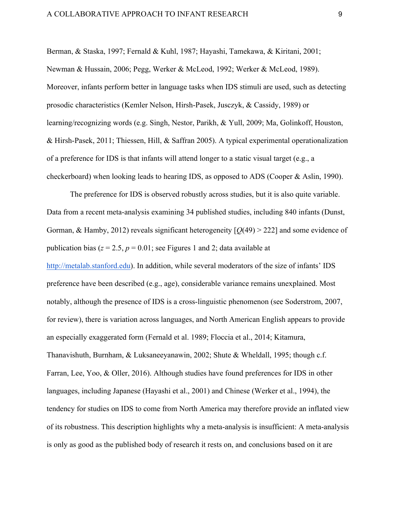Berman, & Staska, 1997; Fernald & Kuhl, 1987; Hayashi, Tamekawa, & Kiritani, 2001; Newman & Hussain, 2006; Pegg, Werker & McLeod, 1992; Werker & McLeod, 1989). Moreover, infants perform better in language tasks when IDS stimuli are used, such as detecting prosodic characteristics (Kemler Nelson, Hirsh-Pasek, Jusczyk, & Cassidy, 1989) or learning/recognizing words (e.g. Singh, Nestor, Parikh, & Yull, 2009; Ma, Golinkoff, Houston, & Hirsh-Pasek, 2011; Thiessen, Hill, & Saffran 2005). A typical experimental operationalization of a preference for IDS is that infants will attend longer to a static visual target (e.g., a checkerboard) when looking leads to hearing IDS, as opposed to ADS (Cooper & Aslin, 1990).

The preference for IDS is observed robustly across studies, but it is also quite variable. Data from a recent meta-analysis examining 34 published studies, including 840 infants (Dunst, Gorman, & Hamby, 2012) reveals significant heterogeneity [*Q*(49) > 222] and some evidence of publication bias ( $z = 2.5$ ,  $p = 0.01$ ; see Figures 1 and 2; data available at http://metalab.stanford.edu). In addition, while several moderators of the size of infants' IDS preference have been described (e.g., age), considerable variance remains unexplained. Most notably, although the presence of IDS is a cross-linguistic phenomenon (see Soderstrom, 2007, for review), there is variation across languages, and North American English appears to provide an especially exaggerated form (Fernald et al. 1989; Floccia et al., 2014; Kitamura, Thanavishuth, Burnham, & Luksaneeyanawin, 2002; Shute & Wheldall, 1995; though c.f. Farran, Lee, Yoo, & Oller, 2016). Although studies have found preferences for IDS in other languages, including Japanese (Hayashi et al., 2001) and Chinese (Werker et al., 1994), the tendency for studies on IDS to come from North America may therefore provide an inflated view of its robustness. This description highlights why a meta-analysis is insufficient: A meta-analysis is only as good as the published body of research it rests on, and conclusions based on it are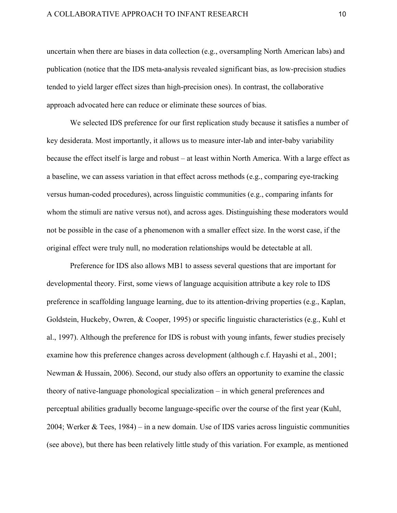uncertain when there are biases in data collection (e.g., oversampling North American labs) and publication (notice that the IDS meta-analysis revealed significant bias, as low-precision studies tended to yield larger effect sizes than high-precision ones). In contrast, the collaborative approach advocated here can reduce or eliminate these sources of bias.

We selected IDS preference for our first replication study because it satisfies a number of key desiderata. Most importantly, it allows us to measure inter-lab and inter-baby variability because the effect itself is large and robust – at least within North America. With a large effect as a baseline, we can assess variation in that effect across methods (e.g., comparing eye-tracking versus human-coded procedures), across linguistic communities (e.g., comparing infants for whom the stimuli are native versus not), and across ages. Distinguishing these moderators would not be possible in the case of a phenomenon with a smaller effect size. In the worst case, if the original effect were truly null, no moderation relationships would be detectable at all.

Preference for IDS also allows MB1 to assess several questions that are important for developmental theory. First, some views of language acquisition attribute a key role to IDS preference in scaffolding language learning, due to its attention-driving properties (e.g., Kaplan, Goldstein, Huckeby, Owren, & Cooper, 1995) or specific linguistic characteristics (e.g., Kuhl et al., 1997). Although the preference for IDS is robust with young infants, fewer studies precisely examine how this preference changes across development (although c.f. Hayashi et al., 2001; Newman & Hussain, 2006). Second, our study also offers an opportunity to examine the classic theory of native-language phonological specialization – in which general preferences and perceptual abilities gradually become language-specific over the course of the first year (Kuhl, 2004; Werker & Tees, 1984) – in a new domain. Use of IDS varies across linguistic communities (see above), but there has been relatively little study of this variation. For example, as mentioned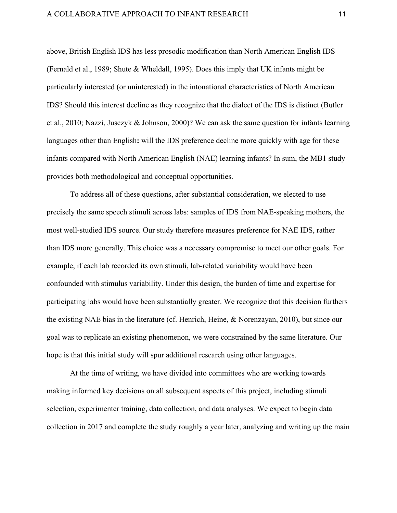# A COLLABORATIVE APPROACH TO INFANT RESEARCH 11

above, British English IDS has less prosodic modification than North American English IDS (Fernald et al., 1989; Shute & Wheldall, 1995). Does this imply that UK infants might be particularly interested (or uninterested) in the intonational characteristics of North American IDS? Should this interest decline as they recognize that the dialect of the IDS is distinct (Butler et al., 2010; Nazzi, Jusczyk & Johnson, 2000)? We can ask the same question for infants learning languages other than English**:** will the IDS preference decline more quickly with age for these infants compared with North American English (NAE) learning infants? In sum, the MB1 study provides both methodological and conceptual opportunities.

To address all of these questions, after substantial consideration, we elected to use precisely the same speech stimuli across labs: samples of IDS from NAE-speaking mothers, the most well-studied IDS source. Our study therefore measures preference for NAE IDS, rather than IDS more generally. This choice was a necessary compromise to meet our other goals. For example, if each lab recorded its own stimuli, lab-related variability would have been confounded with stimulus variability. Under this design, the burden of time and expertise for participating labs would have been substantially greater. We recognize that this decision furthers the existing NAE bias in the literature (cf. Henrich, Heine, & Norenzayan, 2010), but since our goal was to replicate an existing phenomenon, we were constrained by the same literature. Our hope is that this initial study will spur additional research using other languages.

At the time of writing, we have divided into committees who are working towards making informed key decisions on all subsequent aspects of this project, including stimuli selection, experimenter training, data collection, and data analyses. We expect to begin data collection in 2017 and complete the study roughly a year later, analyzing and writing up the main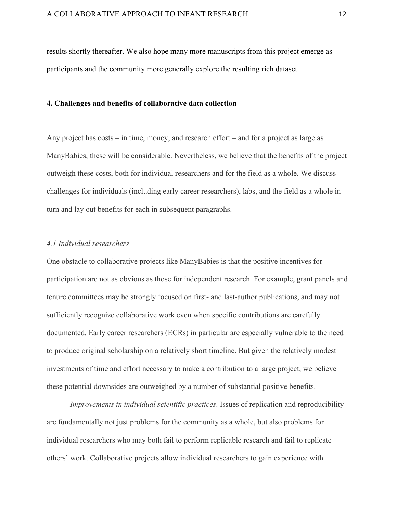results shortly thereafter. We also hope many more manuscripts from this project emerge as participants and the community more generally explore the resulting rich dataset.

#### **4. Challenges and benefits of collaborative data collection**

Any project has costs – in time, money, and research effort – and for a project as large as ManyBabies, these will be considerable. Nevertheless, we believe that the benefits of the project outweigh these costs, both for individual researchers and for the field as a whole. We discuss challenges for individuals (including early career researchers), labs, and the field as a whole in turn and lay out benefits for each in subsequent paragraphs.

#### *4.1 Individual researchers*

One obstacle to collaborative projects like ManyBabies is that the positive incentives for participation are not as obvious as those for independent research. For example, grant panels and tenure committees may be strongly focused on first- and last-author publications, and may not sufficiently recognize collaborative work even when specific contributions are carefully documented. Early career researchers (ECRs) in particular are especially vulnerable to the need to produce original scholarship on a relatively short timeline. But given the relatively modest investments of time and effort necessary to make a contribution to a large project, we believe these potential downsides are outweighed by a number of substantial positive benefits.

*Improvements in individual scientific practices*. Issues of replication and reproducibility are fundamentally not just problems for the community as a whole, but also problems for individual researchers who may both fail to perform replicable research and fail to replicate others' work. Collaborative projects allow individual researchers to gain experience with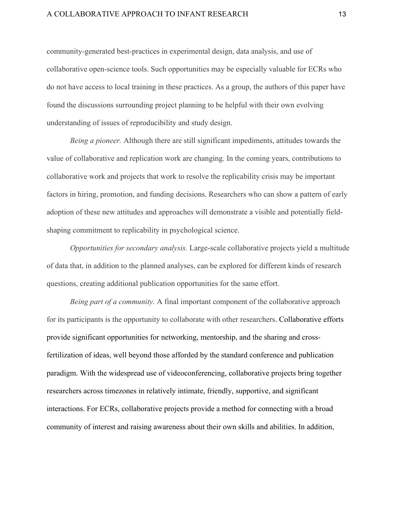# A COLLABORATIVE APPROACH TO INFANT RESEARCH 13

community-generated best-practices in experimental design, data analysis, and use of collaborative open-science tools. Such opportunities may be especially valuable for ECRs who do not have access to local training in these practices. As a group, the authors of this paper have found the discussions surrounding project planning to be helpful with their own evolving understanding of issues of reproducibility and study design.

*Being a pioneer.* Although there are still significant impediments, attitudes towards the value of collaborative and replication work are changing. In the coming years, contributions to collaborative work and projects that work to resolve the replicability crisis may be important factors in hiring, promotion, and funding decisions. Researchers who can show a pattern of early adoption of these new attitudes and approaches will demonstrate a visible and potentially fieldshaping commitment to replicability in psychological science.

*Opportunities for secondary analysis.* Large-scale collaborative projects yield a multitude of data that, in addition to the planned analyses, can be explored for different kinds of research questions, creating additional publication opportunities for the same effort.

*Being part of a community.* A final important component of the collaborative approach for its participants is the opportunity to collaborate with other researchers. Collaborative efforts provide significant opportunities for networking, mentorship, and the sharing and crossfertilization of ideas, well beyond those afforded by the standard conference and publication paradigm. With the widespread use of videoconferencing, collaborative projects bring together researchers across timezones in relatively intimate, friendly, supportive, and significant interactions. For ECRs, collaborative projects provide a method for connecting with a broad community of interest and raising awareness about their own skills and abilities. In addition,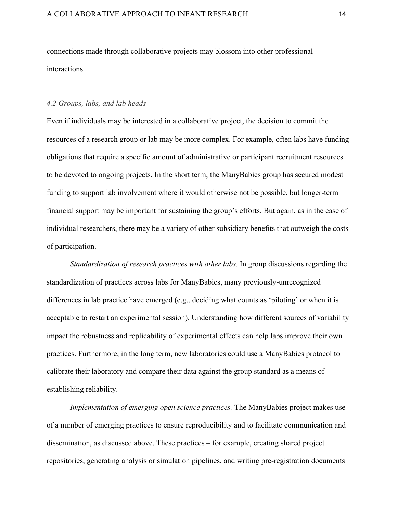connections made through collaborative projects may blossom into other professional interactions.

# *4.2 Groups, labs, and lab heads*

Even if individuals may be interested in a collaborative project, the decision to commit the resources of a research group or lab may be more complex. For example, often labs have funding obligations that require a specific amount of administrative or participant recruitment resources to be devoted to ongoing projects. In the short term, the ManyBabies group has secured modest funding to support lab involvement where it would otherwise not be possible, but longer-term financial support may be important for sustaining the group's efforts. But again, as in the case of individual researchers, there may be a variety of other subsidiary benefits that outweigh the costs of participation.

*Standardization of research practices with other labs.* In group discussions regarding the standardization of practices across labs for ManyBabies, many previously-unrecognized differences in lab practice have emerged (e.g., deciding what counts as 'piloting' or when it is acceptable to restart an experimental session). Understanding how different sources of variability impact the robustness and replicability of experimental effects can help labs improve their own practices. Furthermore, in the long term, new laboratories could use a ManyBabies protocol to calibrate their laboratory and compare their data against the group standard as a means of establishing reliability.

*Implementation of emerging open science practices.* The ManyBabies project makes use of a number of emerging practices to ensure reproducibility and to facilitate communication and dissemination, as discussed above. These practices – for example, creating shared project repositories, generating analysis or simulation pipelines, and writing pre-registration documents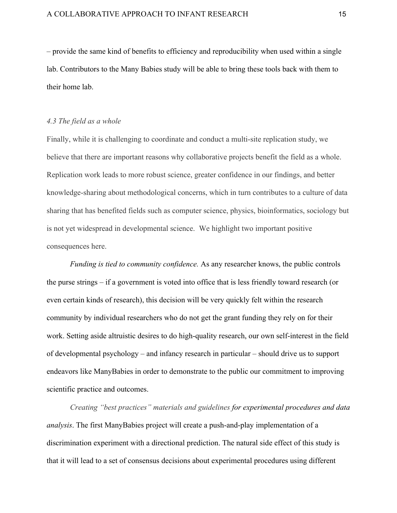– provide the same kind of benefits to efficiency and reproducibility when used within a single lab. Contributors to the Many Babies study will be able to bring these tools back with them to their home lab.

#### *4.3 The field as a whole*

Finally, while it is challenging to coordinate and conduct a multi-site replication study, we believe that there are important reasons why collaborative projects benefit the field as a whole. Replication work leads to more robust science, greater confidence in our findings, and better knowledge-sharing about methodological concerns, which in turn contributes to a culture of data sharing that has benefited fields such as computer science, physics, bioinformatics, sociology but is not yet widespread in developmental science. We highlight two important positive consequences here.

*Funding is tied to community confidence.* As any researcher knows, the public controls the purse strings – if a government is voted into office that is less friendly toward research (or even certain kinds of research), this decision will be very quickly felt within the research community by individual researchers who do not get the grant funding they rely on for their work. Setting aside altruistic desires to do high-quality research, our own self-interest in the field of developmental psychology – and infancy research in particular – should drive us to support endeavors like ManyBabies in order to demonstrate to the public our commitment to improving scientific practice and outcomes.

*Creating "best practices" materials and guidelines for experimental procedures and data analysis*. The first ManyBabies project will create a push-and-play implementation of a discrimination experiment with a directional prediction. The natural side effect of this study is that it will lead to a set of consensus decisions about experimental procedures using different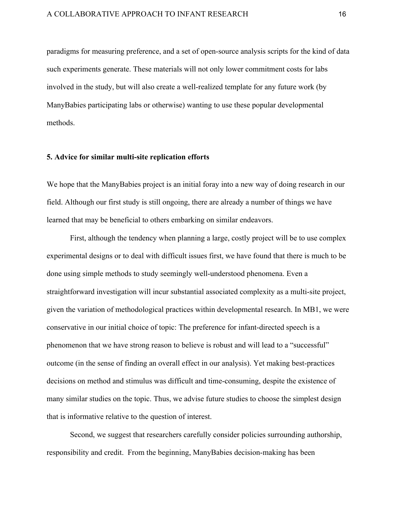paradigms for measuring preference, and a set of open-source analysis scripts for the kind of data such experiments generate. These materials will not only lower commitment costs for labs involved in the study, but will also create a well-realized template for any future work (by ManyBabies participating labs or otherwise) wanting to use these popular developmental methods.

# **5. Advice for similar multi-site replication efforts**

We hope that the ManyBabies project is an initial foray into a new way of doing research in our field. Although our first study is still ongoing, there are already a number of things we have learned that may be beneficial to others embarking on similar endeavors.

First, although the tendency when planning a large, costly project will be to use complex experimental designs or to deal with difficult issues first, we have found that there is much to be done using simple methods to study seemingly well-understood phenomena. Even a straightforward investigation will incur substantial associated complexity as a multi-site project, given the variation of methodological practices within developmental research. In MB1, we were conservative in our initial choice of topic: The preference for infant-directed speech is a phenomenon that we have strong reason to believe is robust and will lead to a "successful" outcome (in the sense of finding an overall effect in our analysis). Yet making best-practices decisions on method and stimulus was difficult and time-consuming, despite the existence of many similar studies on the topic. Thus, we advise future studies to choose the simplest design that is informative relative to the question of interest.

Second, we suggest that researchers carefully consider policies surrounding authorship, responsibility and credit. From the beginning, ManyBabies decision-making has been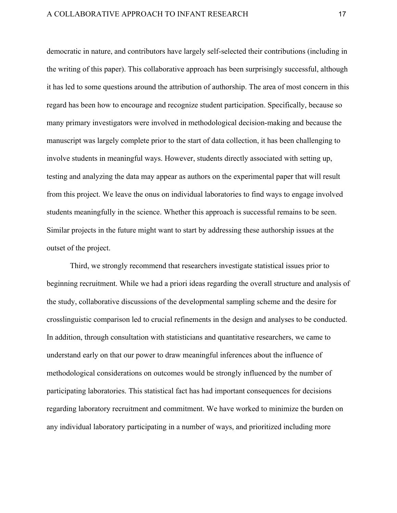democratic in nature, and contributors have largely self-selected their contributions (including in the writing of this paper). This collaborative approach has been surprisingly successful, although it has led to some questions around the attribution of authorship. The area of most concern in this regard has been how to encourage and recognize student participation. Specifically, because so many primary investigators were involved in methodological decision-making and because the manuscript was largely complete prior to the start of data collection, it has been challenging to involve students in meaningful ways. However, students directly associated with setting up, testing and analyzing the data may appear as authors on the experimental paper that will result from this project. We leave the onus on individual laboratories to find ways to engage involved students meaningfully in the science. Whether this approach is successful remains to be seen. Similar projects in the future might want to start by addressing these authorship issues at the outset of the project.

Third, we strongly recommend that researchers investigate statistical issues prior to beginning recruitment. While we had a priori ideas regarding the overall structure and analysis of the study, collaborative discussions of the developmental sampling scheme and the desire for crosslinguistic comparison led to crucial refinements in the design and analyses to be conducted. In addition, through consultation with statisticians and quantitative researchers, we came to understand early on that our power to draw meaningful inferences about the influence of methodological considerations on outcomes would be strongly influenced by the number of participating laboratories. This statistical fact has had important consequences for decisions regarding laboratory recruitment and commitment. We have worked to minimize the burden on any individual laboratory participating in a number of ways, and prioritized including more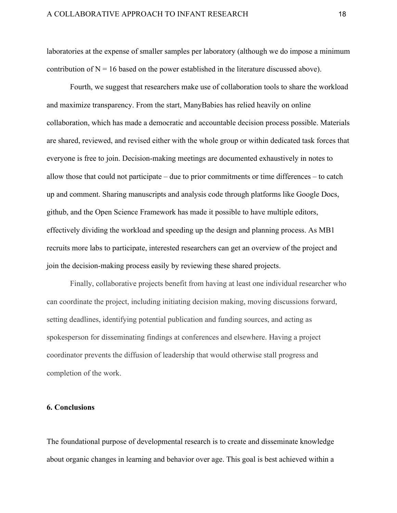laboratories at the expense of smaller samples per laboratory (although we do impose a minimum contribution of  $N = 16$  based on the power established in the literature discussed above).

Fourth, we suggest that researchers make use of collaboration tools to share the workload and maximize transparency. From the start, ManyBabies has relied heavily on online collaboration, which has made a democratic and accountable decision process possible. Materials are shared, reviewed, and revised either with the whole group or within dedicated task forces that everyone is free to join. Decision-making meetings are documented exhaustively in notes to allow those that could not participate – due to prior commitments or time differences – to catch up and comment. Sharing manuscripts and analysis code through platforms like Google Docs, github, and the Open Science Framework has made it possible to have multiple editors, effectively dividing the workload and speeding up the design and planning process. As MB1 recruits more labs to participate, interested researchers can get an overview of the project and join the decision-making process easily by reviewing these shared projects.

Finally, collaborative projects benefit from having at least one individual researcher who can coordinate the project, including initiating decision making, moving discussions forward, setting deadlines, identifying potential publication and funding sources, and acting as spokesperson for disseminating findings at conferences and elsewhere. Having a project coordinator prevents the diffusion of leadership that would otherwise stall progress and completion of the work.

## **6. Conclusions**

The foundational purpose of developmental research is to create and disseminate knowledge about organic changes in learning and behavior over age. This goal is best achieved within a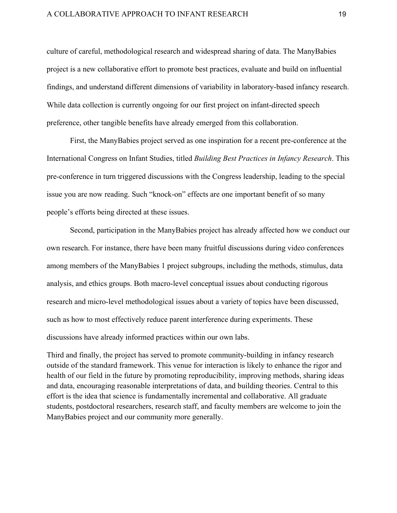### A COLLABORATIVE APPROACH TO INFANT RESEARCH 19

culture of careful, methodological research and widespread sharing of data. The ManyBabies project is a new collaborative effort to promote best practices, evaluate and build on influential findings, and understand different dimensions of variability in laboratory-based infancy research. While data collection is currently ongoing for our first project on infant-directed speech preference, other tangible benefits have already emerged from this collaboration.

First, the ManyBabies project served as one inspiration for a recent pre-conference at the International Congress on Infant Studies, titled *Building Best Practices in Infancy Research*. This pre-conference in turn triggered discussions with the Congress leadership, leading to the special issue you are now reading. Such "knock-on" effects are one important benefit of so many people's efforts being directed at these issues.

Second, participation in the ManyBabies project has already affected how we conduct our own research. For instance, there have been many fruitful discussions during video conferences among members of the ManyBabies 1 project subgroups, including the methods, stimulus, data analysis, and ethics groups. Both macro-level conceptual issues about conducting rigorous research and micro-level methodological issues about a variety of topics have been discussed, such as how to most effectively reduce parent interference during experiments. These discussions have already informed practices within our own labs.

Third and finally, the project has served to promote community-building in infancy research outside of the standard framework. This venue for interaction is likely to enhance the rigor and health of our field in the future by promoting reproducibility, improving methods, sharing ideas and data, encouraging reasonable interpretations of data, and building theories. Central to this effort is the idea that science is fundamentally incremental and collaborative. All graduate students, postdoctoral researchers, research staff, and faculty members are welcome to join the ManyBabies project and our community more generally.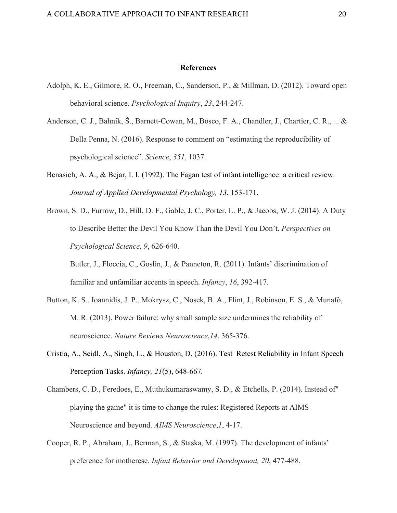#### **References**

- Adolph, K. E., Gilmore, R. O., Freeman, C., Sanderson, P., & Millman, D. (2012). Toward open behavioral science. *Psychological Inquiry*, *23*, 244-247.
- Anderson, C. J., Bahník, Š., Barnett-Cowan, M., Bosco, F. A., Chandler, J., Chartier, C. R., ... & Della Penna, N. (2016). Response to comment on "estimating the reproducibility of psychological science". *Science*, *351*, 1037.
- Benasich, A. A., & Bejar, I. I. (1992). The Fagan test of infant intelligence: a critical review. *Journal of Applied Developmental Psychology, 13*, 153-171.
- Brown, S. D., Furrow, D., Hill, D. F., Gable, J. C., Porter, L. P., & Jacobs, W. J. (2014). A Duty to Describe Better the Devil You Know Than the Devil You Don't. *Perspectives on Psychological Science*, *9*, 626-640. Butler, J., Floccia, C., Goslin, J., & Panneton, R. (2011). Infants' discrimination of

familiar and unfamiliar accents in speech. *Infancy*, *16*, 392-417.

- Button, K. S., Ioannidis, J. P., Mokrysz, C., Nosek, B. A., Flint, J., Robinson, E. S., & Munafò, M. R. (2013). Power failure: why small sample size undermines the reliability of neuroscience. *Nature Reviews Neuroscience*,*14*, 365-376.
- Cristia, A., Seidl, A., Singh, L., & Houston, D. (2016). Test–Retest Reliability in Infant Speech Perception Tasks. *Infancy, 21*(5), 648-667*.*
- Chambers, C. D., Feredoes, E., Muthukumaraswamy, S. D., & Etchells, P. (2014). Instead of" playing the game" it is time to change the rules: Registered Reports at AIMS Neuroscience and beyond. *AIMS Neuroscience*,*1*, 4-17.
- Cooper, R. P., Abraham, J., Berman, S., & Staska, M. (1997). The development of infants' preference for motherese. *Infant Behavior and Development, 20*, 477-488.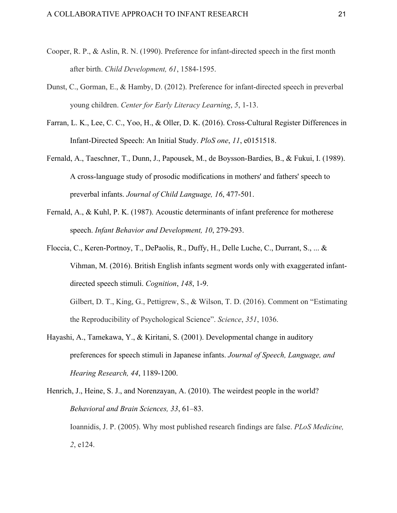- Cooper, R. P., & Aslin, R. N. (1990). Preference for infant-directed speech in the first month after birth. *Child Development, 61*, 1584-1595.
- Dunst, C., Gorman, E., & Hamby, D. (2012). Preference for infant-directed speech in preverbal young children. *Center for Early Literacy Learning*, *5*, 1-13.
- Farran, L. K., Lee, C. C., Yoo, H., & Oller, D. K. (2016). Cross-Cultural Register Differences in Infant-Directed Speech: An Initial Study. *PloS one*, *11*, e0151518.
- Fernald, A., Taeschner, T., Dunn, J., Papousek, M., de Boysson-Bardies, B., & Fukui, I. (1989). A cross-language study of prosodic modifications in mothers' and fathers' speech to preverbal infants. *Journal of Child Language, 16*, 477-501.
- Fernald, A., & Kuhl, P. K. (1987). Acoustic determinants of infant preference for motherese speech. *Infant Behavior and Development, 10*, 279-293.
- Floccia, C., Keren-Portnoy, T., DePaolis, R., Duffy, H., Delle Luche, C., Durrant, S., ... & Vihman, M. (2016). British English infants segment words only with exaggerated infantdirected speech stimuli. *Cognition*, *148*, 1-9.

Gilbert, D. T., King, G., Pettigrew, S., & Wilson, T. D. (2016). Comment on "Estimating the Reproducibility of Psychological Science". *Science*, *351*, 1036.

Hayashi, A., Tamekawa, Y., & Kiritani, S. (2001). Developmental change in auditory preferences for speech stimuli in Japanese infants. *Journal of Speech, Language, and Hearing Research, 44*, 1189-1200.

Henrich, J., Heine, S. J., and Norenzayan, A. (2010). The weirdest people in the world? *Behavioral and Brain Sciences, 33*, 61–83. Ioannidis, J. P. (2005). Why most published research findings are false. *PLoS Medicine, 2*, e124.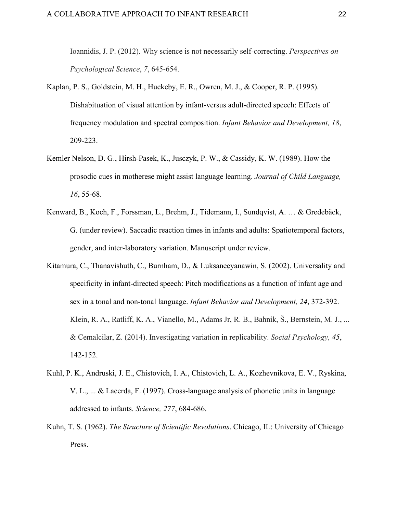Ioannidis, J. P. (2012). Why science is not necessarily self-correcting. *Perspectives on Psychological Science*, *7*, 645-654.

- Kaplan, P. S., Goldstein, M. H., Huckeby, E. R., Owren, M. J., & Cooper, R. P. (1995). Dishabituation of visual attention by infant-versus adult-directed speech: Effects of frequency modulation and spectral composition. *Infant Behavior and Development, 18*, 209-223.
- Kemler Nelson, D. G., Hirsh-Pasek, K., Jusczyk, P. W., & Cassidy, K. W. (1989). How the prosodic cues in motherese might assist language learning. *Journal of Child Language, 16*, 55-68.
- Kenward, B., Koch, F., Forssman, L., Brehm, J., Tidemann, I., Sundqvist, A. … & Gredebäck, G. (under review). Saccadic reaction times in infants and adults: Spatiotemporal factors, gender, and inter-laboratory variation. Manuscript under review.
- Kitamura, C., Thanavishuth, C., Burnham, D., & Luksaneeyanawin, S. (2002). Universality and specificity in infant-directed speech: Pitch modifications as a function of infant age and sex in a tonal and non-tonal language. *Infant Behavior and Development, 24*, 372-392. Klein, R. A., Ratliff, K. A., Vianello, M., Adams Jr, R. B., Bahník, Š., Bernstein, M. J., ... & Cemalcilar, Z. (2014). Investigating variation in replicability. *Social Psychology, 45*, 142-152.
- Kuhl, P. K., Andruski, J. E., Chistovich, I. A., Chistovich, L. A., Kozhevnikova, E. V., Ryskina, V. L., ... & Lacerda, F. (1997). Cross-language analysis of phonetic units in language addressed to infants. *Science, 277*, 684-686.
- Kuhn, T. S. (1962). *The Structure of Scientific Revolutions*. Chicago, IL: University of Chicago Press.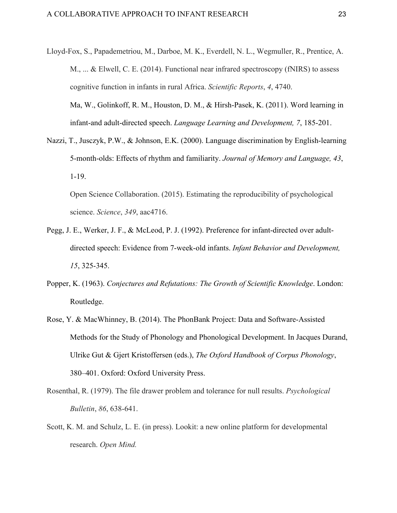- Lloyd-Fox, S., Papademetriou, M., Darboe, M. K., Everdell, N. L., Wegmuller, R., Prentice, A. M., ... & Elwell, C. E. (2014). Functional near infrared spectroscopy (fNIRS) to assess cognitive function in infants in rural Africa. *Scientific Reports*, *4*, 4740. Ma, W., Golinkoff, R. M., Houston, D. M., & Hirsh-Pasek, K. (2011). Word learning in infant-and adult-directed speech. *Language Learning and Development, 7*, 185-201.
- Nazzi, T., Jusczyk, P.W., & Johnson, E.K. (2000). Language discrimination by English-learning 5-month-olds: Effects of rhythm and familiarity. *Journal of Memory and Language, 43*, 1-19.

Open Science Collaboration. (2015). Estimating the reproducibility of psychological science. *Science*, *349*, aac4716.

- Pegg, J. E., Werker, J. F., & McLeod, P. J. (1992). Preference for infant-directed over adultdirected speech: Evidence from 7-week-old infants. *Infant Behavior and Development, 15*, 325-345.
- Popper, K. (1963). *Conjectures and Refutations: The Growth of Scientific Knowledge*. London: Routledge.
- Rose, Y. & MacWhinney, B. (2014). The PhonBank Project: Data and Software-Assisted Methods for the Study of Phonology and Phonological Development. In Jacques Durand, Ulrike Gut & Gjert Kristoffersen (eds.), *The Oxford Handbook of Corpus Phonology*, 380–401. Oxford: Oxford University Press.
- Rosenthal, R. (1979). The file drawer problem and tolerance for null results. *Psychological Bulletin*, *86*, 638-641.
- Scott, K. M. and Schulz, L. E. (in press). Lookit: a new online platform for developmental research. *Open Mind.*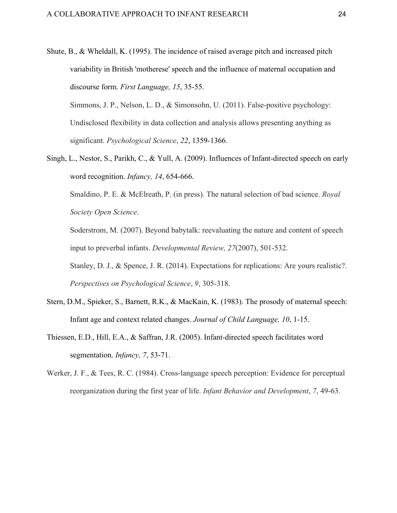Shute, B., & Wheldall, K. (1995). The incidence of raised average pitch and increased pitch variability in British 'motherese' speech and the influence of maternal occupation and discourse form. *First Language, 15*, 35-55. Simmons, J. P., Nelson, L. D., & Simonsohn, U. (2011). False-positive psychology:

Undisclosed flexibility in data collection and analysis allows presenting anything as significant. *Psychological Science*, *22*, 1359-1366.

Singh, L., Nestor, S., Parikh, C., & Yull, A. (2009). Influences of Infant-directed speech on early word recognition. *Infancy, 14*, 654-666.

Smaldino, P. E. & McElreath, P. (in press). The natural selection of bad science. *Royal Society Open Science*.

Soderstrom, M. (2007). Beyond babytalk: reevaluating the nature and content of speech input to preverbal infants. *Developmental Review, 27*(2007), 501-532.

Stanley, D. J., & Spence, J. R. (2014). Expectations for replications: Are yours realistic?. *Perspectives on Psychological Science*, *9*, 305-318.

- Stern, D.M., Spieker, S., Barnett, R.K., & MacKain, K. (1983). The prosody of maternal speech: Infant age and context related changes. *Journal of Child Language, 10*, 1-15.
- Thiessen, E.D., Hill, E.A., & Saffran, J.R. (2005). Infant-directed speech facilitates word segmentation. *Infancy, 7*, 53-71.
- Werker, J. F., & Tees, R. C. (1984). Cross-language speech perception: Evidence for perceptual reorganization during the first year of life. *Infant Behavior and Development*, *7*, 49-63.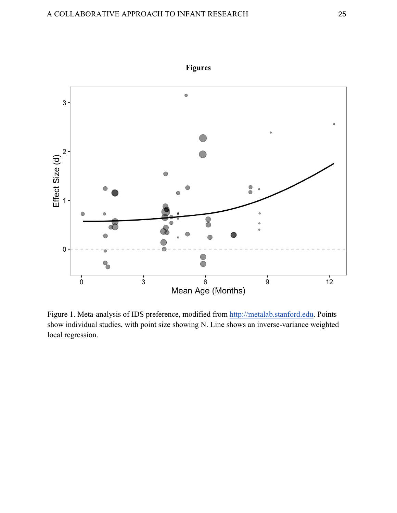

Figure 1. Meta-analysis of IDS preference, modified from http://metalab.stanford.edu. Points show individual studies, with point size showing N. Line shows an inverse-variance weighted local regression.